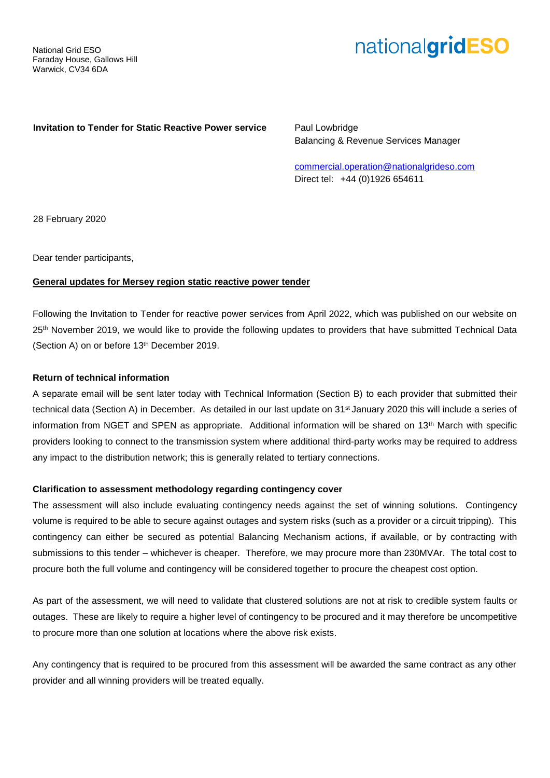# nationalgridESO

## **Invitation to Tender for Static Reactive Power service** Paul Lowbridge

Balancing & Revenue Services Manager

[commercial.operation@nationalgrideso.com](mailto:commercial.operation@nationalgrideso.com) Direct tel: +44 (0)1926 654611

28 February 2020

Dear tender participants,

## **General updates for Mersey region static reactive power tender**

Following the Invitation to Tender for reactive power services from April 2022, which was published on our website on 25<sup>th</sup> November 2019, we would like to provide the following updates to providers that have submitted Technical Data (Section A) on or before 13th December 2019.

## **Return of technical information**

A separate email will be sent later today with Technical Information (Section B) to each provider that submitted their technical data (Section A) in December. As detailed in our last update on 31<sup>st</sup> January 2020 this will include a series of information from NGET and SPEN as appropriate. Additional information will be shared on 13th March with specific providers looking to connect to the transmission system where additional third-party works may be required to address any impact to the distribution network; this is generally related to tertiary connections.

#### **Clarification to assessment methodology regarding contingency cover**

The assessment will also include evaluating contingency needs against the set of winning solutions. Contingency volume is required to be able to secure against outages and system risks (such as a provider or a circuit tripping). This contingency can either be secured as potential Balancing Mechanism actions, if available, or by contracting with submissions to this tender – whichever is cheaper. Therefore, we may procure more than 230MVAr. The total cost to procure both the full volume and contingency will be considered together to procure the cheapest cost option.

As part of the assessment, we will need to validate that clustered solutions are not at risk to credible system faults or outages. These are likely to require a higher level of contingency to be procured and it may therefore be uncompetitive to procure more than one solution at locations where the above risk exists.

Any contingency that is required to be procured from this assessment will be awarded the same contract as any other provider and all winning providers will be treated equally.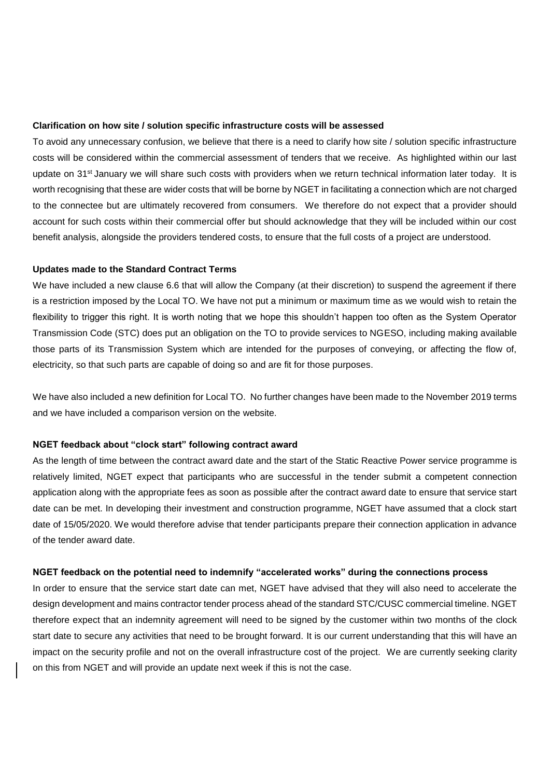#### **Clarification on how site / solution specific infrastructure costs will be assessed**

To avoid any unnecessary confusion, we believe that there is a need to clarify how site / solution specific infrastructure costs will be considered within the commercial assessment of tenders that we receive. As highlighted within our last update on 31<sup>st</sup> January we will share such costs with providers when we return technical information later today. It is worth recognising that these are wider costs that will be borne by NGET in facilitating a connection which are not charged to the connectee but are ultimately recovered from consumers. We therefore do not expect that a provider should account for such costs within their commercial offer but should acknowledge that they will be included within our cost benefit analysis, alongside the providers tendered costs, to ensure that the full costs of a project are understood.

#### **Updates made to the Standard Contract Terms**

We have included a new clause 6.6 that will allow the Company (at their discretion) to suspend the agreement if there is a restriction imposed by the Local TO. We have not put a minimum or maximum time as we would wish to retain the flexibility to trigger this right. It is worth noting that we hope this shouldn't happen too often as the System Operator Transmission Code (STC) does put an obligation on the TO to provide services to NGESO, including making available those parts of its Transmission System which are intended for the purposes of conveying, or affecting the flow of, electricity, so that such parts are capable of doing so and are fit for those purposes.

We have also included a new definition for Local TO. No further changes have been made to the November 2019 terms and we have included a comparison version on the website.

#### **NGET feedback about "clock start" following contract award**

As the length of time between the contract award date and the start of the Static Reactive Power service programme is relatively limited, NGET expect that participants who are successful in the tender submit a competent connection application along with the appropriate fees as soon as possible after the contract award date to ensure that service start date can be met. In developing their investment and construction programme, NGET have assumed that a clock start date of 15/05/2020. We would therefore advise that tender participants prepare their connection application in advance of the tender award date.

## **NGET feedback on the potential need to indemnify "accelerated works" during the connections process**

In order to ensure that the service start date can met, NGET have advised that they will also need to accelerate the design development and mains contractor tender process ahead of the standard STC/CUSC commercial timeline. NGET therefore expect that an indemnity agreement will need to be signed by the customer within two months of the clock start date to secure any activities that need to be brought forward. It is our current understanding that this will have an impact on the security profile and not on the overall infrastructure cost of the project. We are currently seeking clarity on this from NGET and will provide an update next week if this is not the case.